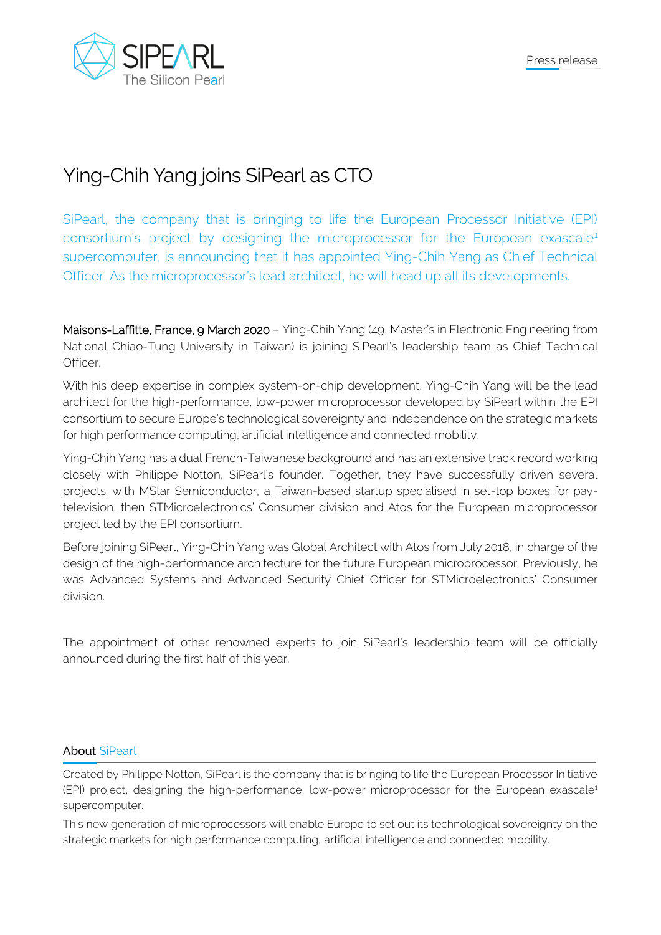

## Ying-Chih Yang joins SiPearl as CTO

SiPearl, the company that is bringing to life the European Processor Initiative (EPI) consortium's project by designing the microprocessor for the European exascale<sup>1</sup> supercomputer, is announcing that it has appointed Ying-Chih Yang as Chief Technical Officer. As the microprocessor's lead architect, he will head up all its developments.

Maisons-Laffitte, France, 9 March 2020 – Ying-Chih Yang (49, Master's in Electronic Engineering from National Chiao-Tung University in Taiwan) is joining SiPearl's leadership team as Chief Technical Officer.

With his deep expertise in complex system-on-chip development, Ying-Chih Yang will be the lead architect for the high-performance, low-power microprocessor developed by SiPearl within the EPI consortium to secure Europe's technological sovereignty and independence on the strategic markets for high performance computing, artificial intelligence and connected mobility.

Ying-Chih Yang has a dual French-Taiwanese background and has an extensive track record working closely with Philippe Notton, SiPearl's founder. Together, they have successfully driven several projects: with MStar Semiconductor, a Taiwan-based startup specialised in set-top boxes for paytelevision, then STMicroelectronics' Consumer division and Atos for the European microprocessor project led by the EPI consortium.

Before joining SiPearl, Ying-Chih Yang was Global Architect with Atos from July 2018, in charge of the design of the high-performance architecture for the future European microprocessor. Previously, he was Advanced Systems and Advanced Security Chief Officer for STMicroelectronics' Consumer division.

The appointment of other renowned experts to join SiPearl's leadership team will be officially announced during the first half of this year.

## About SiPearl

Created by Philippe Notton, SiPearl is the company that is bringing to life the European Processor Initiative (EPI) project, designing the high-performance, low-power microprocessor for the European exascale<sup>1</sup> supercomputer.

This new generation of microprocessors will enable Europe to set out its technological sovereignty on the strategic markets for high performance computing, artificial intelligence and connected mobility.